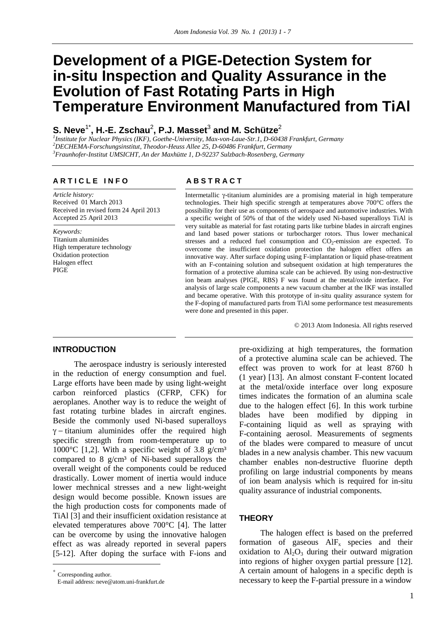# **Development of a PIGE-Detection System for in-situ Inspection and Quality Assurance in the Evolution of Fast Rotating Parts in High Temperature Environment Manufactured from TiAl**

 ${\bf S}.$  Neve<sup>1\*</sup>, H.-E. Zschau<sup>2</sup>, P.J. Masset $^3$  and M. Schütze $^2$ 

<sup>1</sup>Institute for Nuclear Physics (IKF), Goethe-University, Max-von-Laue-Str.1, D-60438 Frankfurt, Germany <sup>2</sup><br><sup>2</sup>DECHEMA Eorgebungsjnstitut Theodor Hause Allee 25, D-60486 Ergylfurt, Germany *DECHEMA-Forschungsinstitut, Theodor-Heuss Allee 25, D-60486 Frankfurt, Germany 3 Fraunhofer-Institut UMSICHT, An der Maxhütte 1, D-92237 Sulzbach-Rosenberg, Germany* 

# **ARTICLE INFO** ABSTRACT

*Article history:*  Received 01 March 2013 Received in revised form 24 April 2013 Accepted 25 April 2013

*Keywords:*  Titanium aluminides High temperature technology Oxidation protection Halogen effect PIGE

Intermetallic γ-titanium aluminides are a promising material in high temperature technologies. Their high specific strength at temperatures above 700°C offers the possibility for their use as components of aerospace and automotive industries. With a specific weight of 50% of that of the widely used Ni-based superalloys TiAl is very suitable as material for fast rotating parts like turbine blades in aircraft engines and land based power stations or turbocharger rotors. Thus lower mechanical stresses and a reduced fuel consumption and  $CO<sub>2</sub>$ -emission are expected. To overcome the insufficient oxidation protection the halogen effect offers an innovative way. After surface doping using F-implantation or liquid phase-treatment with an F-containing solution and subsequent oxidation at high temperatures the formation of a protective alumina scale can be achieved. By using non-destructive ion beam analyses (PIGE, RBS) F was found at the metal/oxide interface. For analysis of large scale components a new vacuum chamber at the IKF was installed and became operative. With this prototype of in-situ quality assurance system for the F-doping of manufactured parts from TiAl some performance test measurements were done and presented in this paper.

© 2013 Atom Indonesia. All rights reserved

# **INTRODUCTION**<sup>∗</sup>

The aerospace industry is seriously interested in the reduction of energy consumption and fuel. Large efforts have been made by using light-weight carbon reinforced plastics (CFRP, CFK) for aeroplanes. Another way is to reduce the weight of fast rotating turbine blades in aircraft engines. Beside the commonly used Ni-based superalloys  $\gamma$  – titanium aluminides offer the required high specific strength from room-temperature up to 1000 $\degree$ C [1,2]. With a specific weight of 3.8 g/cm<sup>3</sup> compared to 8  $g/cm<sup>3</sup>$  of Ni-based superalloys the overall weight of the components could be reduced drastically. Lower moment of inertia would induce lower mechnical stresses and a new light-weight design would become possible. Known issues are the high production costs for components made of TiAl [3] and their insufficient oxidation resistance at elevated temperatures above 700°C [4]. The latter can be overcome by using the innovative halogen effect as was already reported in several papers [5-12]. After doping the surface with F-ions and  $\overline{a}$ 

pre-oxidizing at high temperatures, the formation of a protective alumina scale can be achieved. The effect was proven to work for at least 8760 h (1 year) [13]. An almost constant F-content located at the metal/oxide interface over long exposure times indicates the formation of an alumina scale due to the halogen effect [6]. In this work turbine blades have been modified by dipping in F-containing liquid as well as spraying with F-containing aerosol. Measurements of segments of the blades were compared to measure of uncut blades in a new analysis chamber. This new vacuum chamber enables non-destructive fluorine depth profiling on large industrial components by means of ion beam analysis which is required for in-situ quality assurance of industrial components.

# **THEORY**

The halogen effect is based on the preferred formation of gaseous  $\text{AlF}_x$  species and their oxidation to  $Al_2O_3$  during their outward migration into regions of higher oxygen partial pressure [12]. A certain amount of halogens in a specific depth is necessary to keep the F-partial pressure in a window

<sup>∗</sup> Corresponding author. E-mail address: neve@atom.uni-frankfurt.de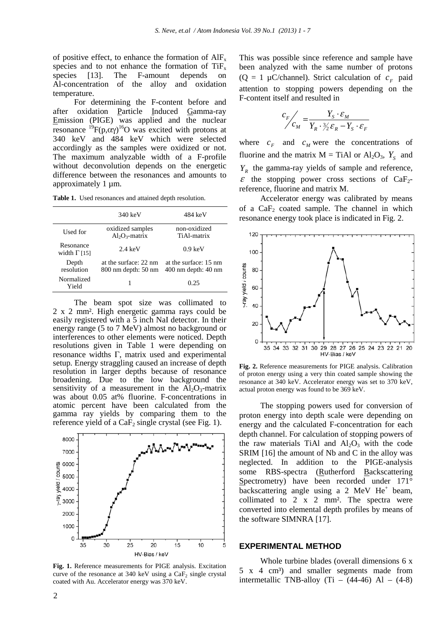of positive effect, to enhance the formation of  $\text{AlF}_x$ species and to not enhance the formation of  $TiF_x$ species [13]. The F-amount depends on Al-concentration of the alloy and oxidation temperature.

For determining the F-content before and after oxidation Particle Induced Gamma-ray Emission (PIGE) was applied and the nuclear resonance  ${}^{19}F(p,\alpha\gamma){}^{16}O$  was excited with protons at 340 keV and 484 keV which were selected accordingly as the samples were oxidized or not. The maximum analyzable width of a F-profile without deconvolution depends on the energetic difference between the resonances and amounts to approximately 1 µm.

**Table 1.** Used resonances and attained depth resolution.

|                                  | $340 \text{ keV}$                            | 484 keV                                          |
|----------------------------------|----------------------------------------------|--------------------------------------------------|
| Used for                         | oxidized samples<br>$Al_2O_3$ -matrix        | non-oxidized<br>TiAl-matrix                      |
| Resonance<br>width $\Gamma$ [15] | $2.4 \text{ keV}$                            | $0.9 \text{ keV}$                                |
| Depth<br>resolution              | at the surface: 22 nm<br>800 nm depth: 50 nm | at the surface: 15 nm<br>$400$ nm depth: $40$ nm |
| Normalized<br>Yield              |                                              | 0.25                                             |

The beam spot size was collimated to 2 x 2 mm². High energetic gamma rays could be easily registered with a 5 inch NaI detector. In their energy range (5 to 7 MeV) almost no background or interferences to other elements were noticed. Depth resolutions given in Table 1 were depending on resonance widths Γ, matrix used and experimental setup. Energy straggling caused an increase of depth resolution in larger depths because of resonance broadening. Due to the low background the sensitivity of a measurement in the  $Al_2O_3$ -matrix was about 0.05 at% fluorine. F-concentrations in atomic percent have been calculated from the gamma ray yields by comparing them to the reference yield of a  $CaF_2$  single crystal (see Fig. 1).



**Fig. 1.** Reference measurements for PIGE analysis. Excitation curve of the resonance at 340 keV using a  $CaF<sub>2</sub>$  single crystal coated with Au. Accelerator energy was 370 keV.

This was possible since reference and sample have been analyzed with the same number of protons ( $Q = 1 \mu$ C/channel). Strict calculation of  $c_F$  paid attention to stopping powers depending on the F-content itself and resulted in

$$
c_F / \frac{Y_s \cdot \varepsilon_M}{Y_R \cdot \frac{3}{2} \varepsilon_R - Y_s \cdot \varepsilon_F}
$$

where  $c_F$  and  $c_M$  were the concentrations of fluorine and the matrix  $M = TiA1$  or  $Al_2O_3$ ,  $Y_s$  and  $Y_R$  the gamma-ray yields of sample and reference,  $\varepsilon$  the stopping power cross sections of CaF<sub>2</sub>reference, fluorine and matrix M.

Accelerator energy was calibrated by means of a  $CaF<sub>2</sub>$  coated sample. The channel in which resonance energy took place is indicated in Fig. 2.



**Fig. 2.** Reference measurements for PIGE analysis. Calibration of proton energy using a very thin coated sample showing the resonance at 340 keV. Accelerator energy was set to 370 keV, actual proton energy was found to be 369 keV.

The stopping powers used for conversion of proton energy into depth scale were depending on energy and the calculated F-concentration for each depth channel. For calculation of stopping powers of the raw materials TiAl and  $Al_2O_3$  with the code SRIM [16] the amount of Nb and C in the alloy was neglected. In addition to the PIGE-analysis some RBS-spectra (Rutherford Backscattering Spectrometry) have been recorded under  $171^{\circ}$ backscattering angle using a 2 MeV  $He<sup>+</sup>$  beam, collimated to 2 x 2 mm². The spectra were converted into elemental depth profiles by means of the software SIMNRA [17].

#### **EXPERIMENTAL METHOD**

Whole turbine blades (overall dimensions 6 x 5 x 4 cm<sup>3</sup>) and smaller segments made from intermetallic TNB-alloy (Ti  $-$  (44-46) Al  $-$  (4-8)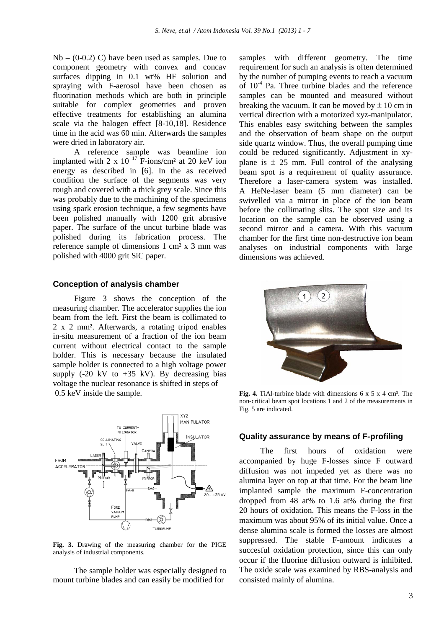$Nb - (0-0.2)$  C) have been used as samples. Due to component geometry with convex and concav surfaces dipping in 0.1 wt% HF solution and spraying with F-aerosol have been chosen as fluorination methods which are both in principle suitable for complex geometries and proven effective treatments for establishing an alumina scale via the halogen effect [8 8-10,18]. Residence time in the acid was 60 min. Afterwards the samples were dried in laboratory air.

A reference sample w was beamline ion implanted with 2 x 10<sup> $17$ </sup> F-ions/cm<sup>2</sup> at 20 keV ion energy as described in [6]. In the as received condition the surface of the segments was very rough and covered with a thick grey scale. Since this was probably due to the machining of the specimens using spark erosion technique, a few segments have been polished manually with 1200 grit abrasive paper. The surface of the uncut turbine blade was polished during its fabrication process. The reference sample of dimensions 1 cm² x 3 mm was polished with 4000 grit SiC paper.

#### **Conception of analysis chamber**

Figure 3 shows the c conception of the measuring chamber. The accelerator supplies the ion beam from the left. First the bea am is collimated to 2 x 2 mm<sup>2</sup>. Afterwards, a rotating tripod enables in-situ measurement of a fraction of the ion beam current without electrical contact to the sample holder. This is necessary bec ause the insulated sample holder is connected to a high voltage power supply  $(-20 \text{ kV}$  to  $+35 \text{ kV})$ . By decreasing bias voltage the nuclear resonance is s shifted in steps of 0.5 keV inside the sample.



Fig. 3. Drawing of the measuring chamber for the PIGE analysis of industrial components.

The sample holder was especially designed to mount turbine blades and can eas sily be modified for

samples with different geometry. The time requirement for such an a analysis is often determined by the number of pumping events to reach a vacuum of  $10^{-4}$  Pa. Three turbine blades and the reference samples can be mounted and measured without breaking the vacuum. It can be moved by  $\pm 10$  cm in vertical direction with a motorized xyz-manipulator. This enables easy switc hing between the samples and the observation of b beam shape on the output side quartz window. Thus, the overall pumping time could be reduced significantly. Adjustment in xyplane is  $\pm$  25 mm. Full control of the analysing beam spot is a requirement of quality assurance. Therefore a laser-camera system was installed. A HeNe-laser beam (5 5 mm diameter) can be swivelled via a mirror in place of the ion beam before the collimating s lits. The spot size and its location on the sample can be observed using a second mirror and a camera. With this vacuum chamber for the first time non-destructive ion beam analyses on industrial components with large dimensions was achieved.



**Fig. 4.** TiAl-turbine blade with dimensions 6 x 5 x 4 cm<sup>3</sup>. The non-critical beam spot locations 1 and 2 of the measurements in Fig. 5 are indicated.

# **Quality assurance by means of F-profiling**

The first hour accompanied by huge F F-losses since F outward diffusion was not impeded yet as there was no alumina layer on top at that time. For the beam line implanted sample the m maximum F-concentration dropped from  $48$  at% to 1.6 at% during the first 20 hours of oxidation. Th his means the F-loss in the maximum was about 95% % of its initial value. Once a dense alumina scale is formed the losses are almost suppressed. The stable F-amount indicates a succesful oxidation protection, since this can only occur if the fluorine diff fusion outward is inhibited. The oxide scale was examined by RBS-analysis and consisted mainly of alumina. of oxidation were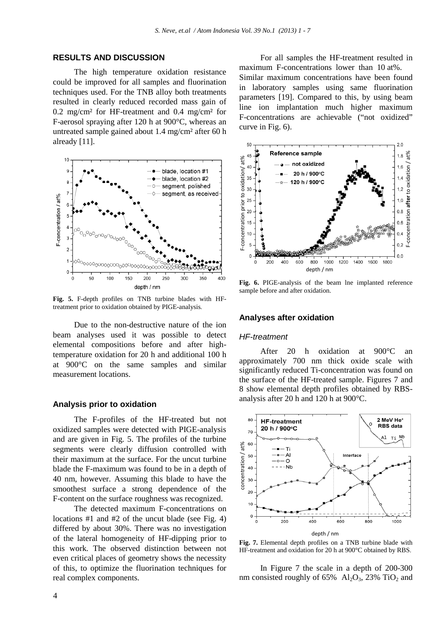# **RESULTS AND DISCUSSION**

The high temperature oxidation resistance could be improved for all samples and fluorination techniques used. For the TNB alloy both treatments resulted in clearly reduced recorded mass gain of 0.2 mg/cm² for HF-treatment and 0.4 mg/cm² for F-aerosol spraying after 120 h at 900°C, whereas an untreated sample gained about 1.4 mg/cm² after 60 h already [11].



**Fig. 5.** F-depth profiles on TNB turbine blades with HFtreatment prior to oxidation obtained by PIGE-analysis.

Due to the non-destructive nature of the ion beam analyses used it was possible to detect elemental compositions before and after hightemperature oxidation for 20 h and additional 100 h at 900°C on the same samples and similar measurement locations.

## **Analysis prior to oxidation**

The F-profiles of the HF-treated but not oxidized samples were detected with PIGE-analysis and are given in Fig. 5. The profiles of the turbine segments were clearly diffusion controlled with their maximum at the surface. For the uncut turbine blade the F-maximum was found to be in a depth of 40 nm, however. Assuming this blade to have the smoothest surface a strong dependence of the F-content on the surface roughness was recognized.

The detected maximum F-concentrations on locations #1 and #2 of the uncut blade (see Fig. 4) differed by about 30%. There was no investigation of the lateral homogeneity of HF-dipping prior to this work. The observed distinction between not even critical places of geometry shows the necessity of this, to optimize the fluorination techniques for real complex components.

For all samples the HF-treatment resulted in maximum F-concentrations lower than 10 at%. Similar maximum concentrations have been found in laboratory samples using same fluorination parameters [19]. Compared to this, by using beam line ion implantation much higher maximum F-concentrations are achievable ("not oxidized" curve in Fig. 6).



**Fig. 6.** PIGE-analysis of the beam lne implanted reference sample before and after oxidation.

#### **Analyses after oxidation**

#### *HF-treatment*

After 20 h oxidation at 900°C an approximately 700 nm thick oxide scale with significantly reduced Ti-concentration was found on the surface of the HF-treated sample. Figures 7 and 8 show elemental depth profiles obtained by RBSanalysis after 20 h and 120 h at 900°C.



**Fig. 7.** Elemental depth profiles on a TNB turbine blade with HF-treatment and oxidation for 20 h at 900°C obtained by RBS.

In Figure 7 the scale in a depth of 200-300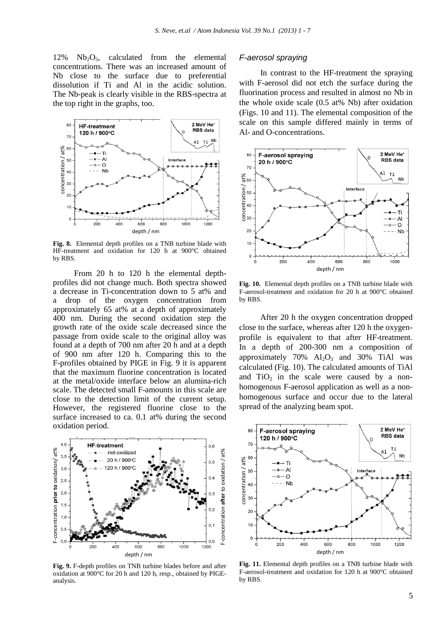$12\%$  Nb<sub>2</sub>O<sub>5</sub>, calculated from the elemental concentrations. There was an increased amount of Nb close to the surface due to preferential dissolution if Ti and Al in the acidic solution. The Nb-peak is clearly visible in the RBS-spectra at the top right in the graphs, too.



**Fig. 8.** Elemental depth profiles on a TNB turbine blade with HF-treatment and oxidation for 120 h at 900°C obtained by RBS.

From 20 h to 120 h the elemental depthprofiles did not change much. Both spectra showed a decrease in Ti-concentration down to 5 at% and a drop of the oxygen concentration from approximately 65 at% at a depth of approximately 400 nm. During the second oxidation step the growth rate of the oxide scale decreased since the passage from oxide scale to the original alloy was found at a depth of 700 nm after 20 h and at a depth of 900 nm after 120 h. Comparing this to the F-profiles obtained by PIGE in Fig. 9 it is apparent that the maximum fluorine concentration is located at the metal/oxide interface below an alumina-rich scale. The detected small F-amounts in this scale are close to the detection limit of the current setup. However, the registered fluorine close to the surface increased to ca. 0.1 at% during the second oxidation period.



**Fig. 9.** F-depth profiles on TNB turbine blades before and after oxidation at 900°C for 20 h and 120 h, resp., obtained by PIGEanalysis.

#### *F-aerosol spraying*

In contrast to the HF-treatment the spraying with F-aerosol did not etch the surface during the fluorination process and resulted in almost no Nb in the whole oxide scale (0.5 at% Nb) after oxidation (Figs. 10 and 11). The elemental composition of the scale on this sample differed mainly in terms of Al- and O-concentrations.



**Fig. 10.** Elemental depth profiles on a TNB turbine blade with F-aerosol-treatment and oxidation for 20 h at 900°C obtained by RBS.

After 20 h the oxygen concentration dropped close to the surface, whereas after 120 h the oxygenprofile is equivalent to that after HF-treatment. In a depth of 200-300 nm a composition of approximately  $70\%$  Al<sub>2</sub>O<sub>3</sub> and 30% TiAl was calculated (Fig. 10). The calculated amounts of TiAl and  $TiO<sub>2</sub>$  in the scale were caused by a nonhomogenous F-aerosol application as well as a nonhomogenous surface and occur due to the lateral spread of the analyzing beam spot.



**Fig. 11.** Elemental depth profiles on a TNB turbine blade with F-aerosol-treatment and oxidation for 120 h at 900°C obtained by RBS.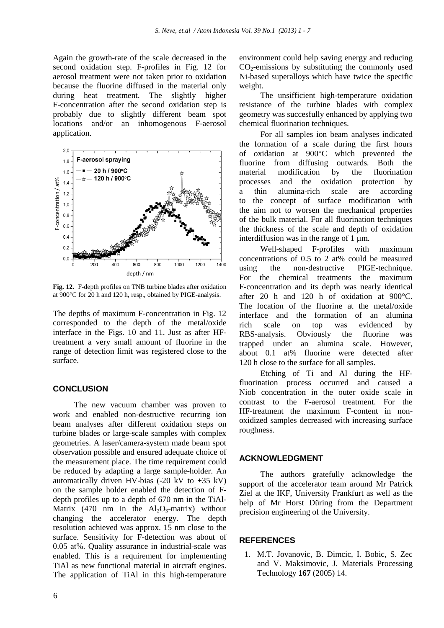Again the growth-rate of the scale decreased in the second oxidation step. F-profiles in Fig. 12 for aerosol treatment were not taken prior to oxidation because the fluorine diffused in the material only during heat treatment. The slightly higher F-concentration after the second oxidation step is probably due to slightly different beam spot locations and/or an inhomogenous F-aerosol application.



**Fig. 12.** F-depth profiles on TNB turbine blades after oxidation at 900°C for 20 h and 120 h, resp., obtained by PIGE-analysis.

The depths of maximum F-concentration in Fig. 12 corresponded to the depth of the metal/oxide interface in the Figs. 10 and 11. Just as after HFtreatment a very small amount of fluorine in the range of detection limit was registered close to the surface.

# **CONCLUSION**

The new vacuum chamber was proven to work and enabled non-destructive recurring ion beam analyses after different oxidation steps on turbine blades or large-scale samples with complex geometries. A laser/camera-system made beam spot observation possible and ensured adequate choice of the measurement place. The time requirement could be reduced by adapting a large sample-holder. An automatically driven HV-bias  $(-20 \text{ kV}$  to  $+35 \text{ kV})$ on the sample holder enabled the detection of Fdepth profiles up to a depth of 670 nm in the TiAl-Matrix (470 nm in the  $Al_2O_3$ -matrix) without changing the accelerator energy. The depth resolution achieved was approx. 15 nm close to the surface. Sensitivity for F-detection was about of 0.05 at%. Quality assurance in industrial-scale was enabled. This is a requirement for implementing TiAl as new functional material in aircraft engines. The application of TiAl in this high-temperature environment could help saving energy and reducing  $CO<sub>2</sub>$ -emissions by substituting the commonly used Ni-based superalloys which have twice the specific weight.

The unsifficient high-temperature oxidation resistance of the turbine blades with complex geometry was succesfully enhanced by applying two chemical fluorination techniques.

For all samples ion beam analyses indicated the formation of a scale during the first hours of oxidation at 900°C which prevented the fluorine from diffusing outwards. Both the material modification by the fluorination processes and the oxidation protection by a thin alumina-rich scale are according to the concept of surface modification with the aim not to worsen the mechanical properties of the bulk material. For all fluorination techniques the thickness of the scale and depth of oxidation interdiffusion was in the range of  $1 \mu m$ .

Well-shaped F-profiles with maximum concentrations of 0.5 to 2 at% could be measured using the non-destructive PIGE-technique. For the chemical treatments the maximum F-concentration and its depth was nearly identical after 20 h and 120 h of oxidation at 900°C. The location of the fluorine at the metal/oxide interface and the formation of an alumina rich scale on top was evidenced by RBS-analysis. Obviously the fluorine was trapped under an alumina scale. However, about 0.1 at% fluorine were detected after 120 h close to the surface for all samples.

Etching of Ti and Al during the HFfluorination process occurred and caused a Niob concentration in the outer oxide scale in contrast to the F-aerosol treatment. For the HF-treatment the maximum F-content in nonoxidized samples decreased with increasing surface roughness.

# **ACKNOWLEDGMENT**

The authors gratefully acknowledge the support of the accelerator team around Mr Patrick Ziel at the IKF, University Frankfurt as well as the help of Mr Horst Düring from the Department precision engineering of the University.

#### **REFERENCES**

1. M.T. Jovanovic, B. Dimcic, I. Bobic, S. Zec and V. Maksimovic, J. Materials Processing Technology **167** (2005) 14.